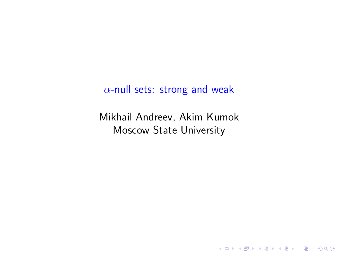# *α*-null sets: strong and weak

Mikhail Andreev, Akim Kumok Moscow State University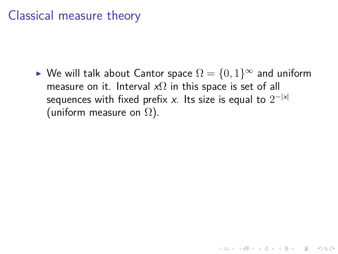# Classical measure theory

 $▶$  We will talk about Cantor space  $Ω = {0,1}^{\infty}$  and uniform measure on it. Interval *x*Ω in this space is set of all sequences with fixed prefix *x*. Its size is equal to 2 *−|x|* (uniform measure on  $\Omega$ ).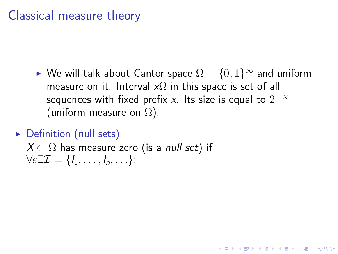# Classical measure theory

- $▶$  We will talk about Cantor space  $Ω = {0,1}^{\infty}$  and uniform measure on it. Interval *x*Ω in this space is set of all sequences with fixed prefix *x*. Its size is equal to 2 *−|x|* (uniform measure on  $\Omega$ ).
- ▶ Definition (null sets)
	- *X ⊂* Ω has measure zero (is a *null set*) if *∀ε∃I* = *{I*1*, . . . , In, . . .}*: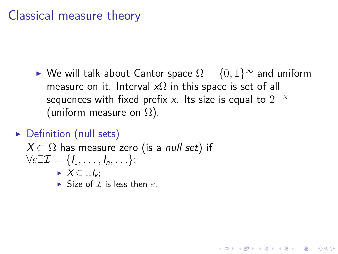# Classical measure theory

- $▶$  We will talk about Cantor space  $Ω = {0,1}^{\infty}$  and uniform measure on it. Interval *x*Ω in this space is set of all sequences with fixed prefix *x*. Its size is equal to 2 *−|x|* (uniform measure on  $\Omega$ ).
- ▶ Definition (null sets)
	- *X ⊂* Ω has measure zero (is a *null set*) if
	- *∀ε∃I* = *{I*1*, . . . , In, . . .}*:
		- ▶ *X ⊆ ∪Ik*;
		- ▶ Size of *I* is less then *ε*.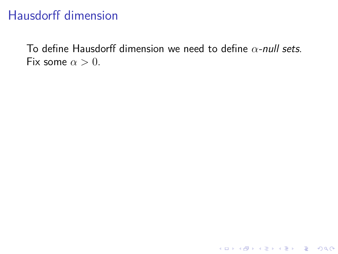To define Hausdorff dimension we need to define *α-null sets*. Fix some  $\alpha > 0$ .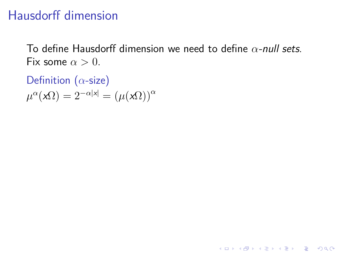To define Hausdorff dimension we need to define *α-null sets*. Fix some  $\alpha > 0$ .

Definition (*α*-size)  $\mu^{\alpha}(\mathbf{x}\Omega) = 2^{-\alpha|\mathbf{x}|} = (\mu(\mathbf{x}\Omega))^{\alpha}$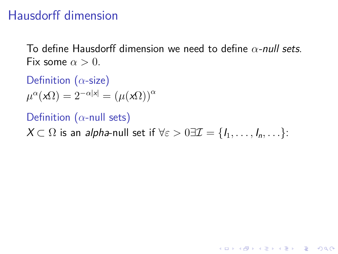To define Hausdorff dimension we need to define *α-null sets*. Fix some  $\alpha > 0$ .

Definition (*α*-size)  $\mu^{\alpha}(\mathbf{x}\Omega) = 2^{-\alpha|\mathbf{x}|} = (\mu(\mathbf{x}\Omega))^{\alpha}$ 

Definition (*α*-null sets)

*X* ⊂ Ω is an *alpha*-null set if  $∀ε > 0∃I = {I<sub>1</sub>, ..., I<sub>n</sub>, ...}$ :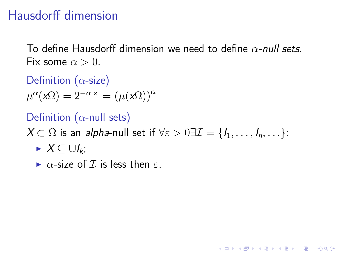To define Hausdorff dimension we need to define *α-null sets*. Fix some  $\alpha > 0$ .

Definition (*α*-size)  $\mu^{\alpha}(\mathbf{x}\Omega) = 2^{-\alpha|\mathbf{x}|} = (\mu(\mathbf{x}\Omega))^{\alpha}$ 

Definition (*α*-null sets)

*X* ⊂ Ω is an *alpha*-null set if  $∀ε > 0∃I = {I_1, ..., I_n, ...}$ :

- ▶ *X ⊆ ∪Ik*;
- ▶ *α*-size of *I* is less then *ε*.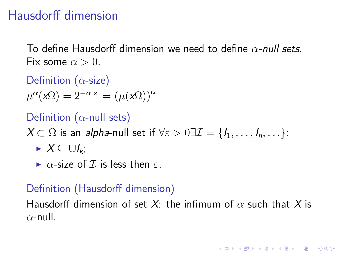To define Hausdorff dimension we need to define *α-null sets*. Fix some  $\alpha > 0$ .

Definition (*α*-size)  $\mu^{\alpha}(\mathbf{x}\Omega) = 2^{-\alpha|\mathbf{x}|} = (\mu(\mathbf{x}\Omega))^{\alpha}$ 

Definition (*α*-null sets)

*X* ⊂ Ω is an *alpha*-null set if  $∀ε > 0∃I = {I<sub>1</sub>,..., I<sub>n</sub>,...}$ :

- ▶ *X ⊆ ∪Ik*;
- $\triangleright$  *α*-size of *I* is less then *ε*.

### Definition (Hausdorff dimension)

Hausdorff dimension of set *X*: the infimum of *α* such that *X* is *α*-null.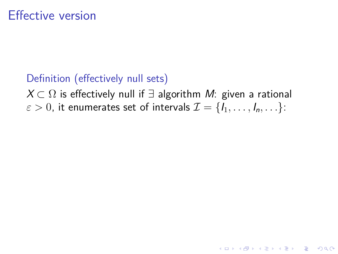Definition (effectively null sets)

*X ⊂* Ω is effectively null if *∃* algorithm *M*: given a rational  $\varepsilon >0,$  it enumerates set of intervals  $\mathcal{I}=\{I_1,\ldots, I_n,\ldots\}$ :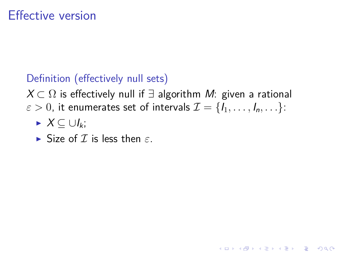### Definition (effectively null sets)

*X ⊂* Ω is effectively null if *∃* algorithm *M*: given a rational  $\varepsilon >0,$  it enumerates set of intervals  $\mathcal{I}=\{I_1,\ldots, I_n,\ldots\}$ :

- ▶ *X ⊆ ∪Ik*;
- ▶ Size of *I* is less then *ε*.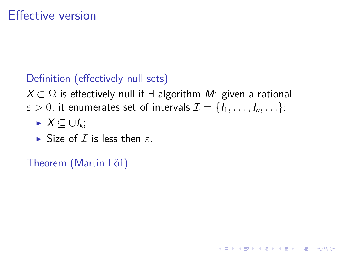### Definition (effectively null sets)

*X ⊂* Ω is effectively null if *∃* algorithm *M*: given a rational  $\varepsilon >0,$  it enumerates set of intervals  $\mathcal{I}=\{I_1,\ldots, I_n,\ldots\}$ :

- ▶ *X ⊆ ∪Ik*;
- ▶ Size of *I* is less then *ε*.

Theorem (Martin-Löf)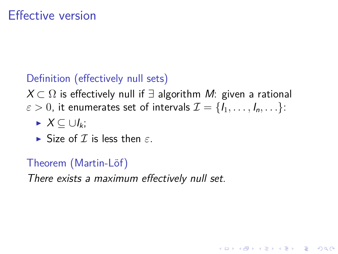### Definition (effectively null sets)

*X ⊂* Ω is effectively null if *∃* algorithm *M*: given a rational  $\varepsilon >0,$  it enumerates set of intervals  $\mathcal{I}=\{I_1,\ldots, I_n,\ldots\}$ :

- ▶ *X ⊆ ∪Ik*;
- ▶ Size of *I* is less then *ε*.

### Theorem (Martin-Löf)

*There exists a maximum effectively null set.*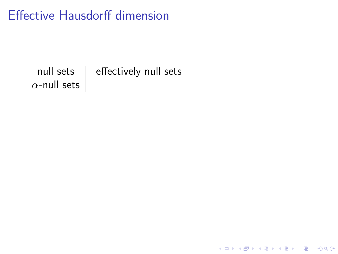null sets  $\parallel$  effectively null sets *α*-null sets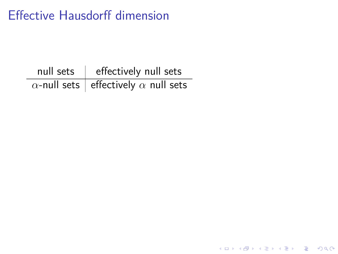| null sets   effectively null sets                    |
|------------------------------------------------------|
| $\alpha$ -null sets   effectively $\alpha$ null sets |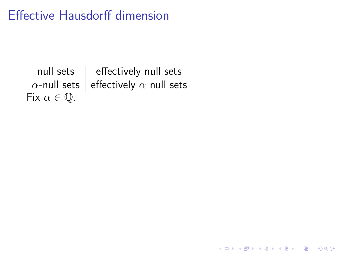|                               | null sets   effectively null sets                    |
|-------------------------------|------------------------------------------------------|
|                               | $\alpha$ -null sets   effectively $\alpha$ null sets |
| Fix $\alpha \in \mathbb{Q}$ . |                                                      |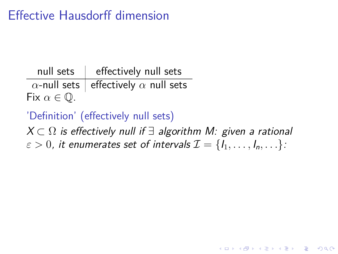null sets  $\,$  effectively null sets  $\frac{1}{\alpha}$ -null sets effectively  $\alpha$  null sets Fix  $\alpha \in \mathbb{Q}$ .

'Definition' (effectively null sets)

*X ⊂* Ω *is effectively null if ∃ algorithm M: given a rational*  $\varepsilon > 0$ , it enumerates set of intervals  $\mathcal{I} = {\tilde{I_1}, \ldots, I_n, \ldots}$ :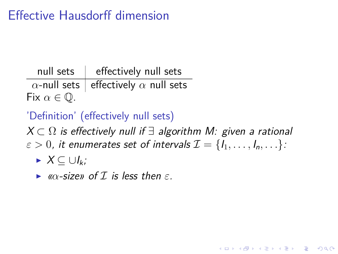null sets  $\,$  effectively null sets  $\frac{1}{\alpha}$ -null sets effectively  $\alpha$  null sets Fix  $\alpha \in \mathbb{Q}$ .

'Definition' (effectively null sets)

*X ⊂* Ω *is effectively null if ∃ algorithm M: given a rational*  $\varepsilon > 0$ , it enumerates set of intervals  $\mathcal{I} = \{I_1, \ldots, I_n, \ldots\}$ :

- ▶ *X ⊆ ∪Ik;*
- ▶ *«α-size» of I is less then ε.*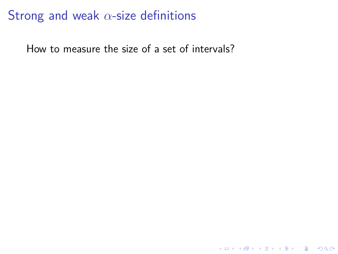# Strong and weak *α*-size definitions

How to measure the size of a set of intervals?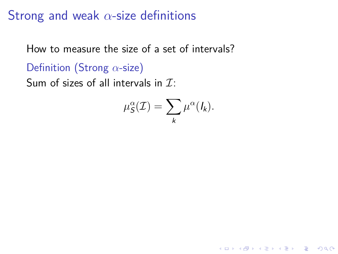# Strong and weak *α*-size definitions

How to measure the size of a set of intervals?

Definition (Strong *α*-size)

Sum of sizes of all intervals in *I*:

$$
\mu_{\mathcal{S}}^{\alpha}(\mathcal{I}) = \sum_{k} \mu^{\alpha}(I_k).
$$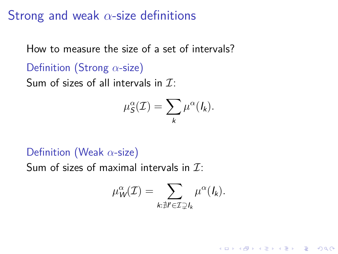# Strong and weak *α*-size definitions

How to measure the size of a set of intervals?

Definition (Strong *α*-size)

Sum of sizes of all intervals in *I*:

$$
\mu_{\mathcal{S}}^{\alpha}(\mathcal{I}) = \sum_{k} \mu^{\alpha}(I_k).
$$

### Definition (Weak *α*-size)

Sum of sizes of maximal intervals in *I*:

$$
\mu_W^{\alpha}(\mathcal{I}) = \sum_{k:\nexists l' \in \mathcal{I} \supsetneq l_k} \mu^{\alpha}(l_k).
$$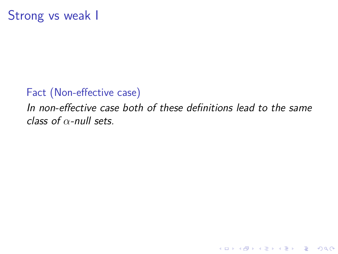Fact (Non-effective case) *In non-effective case both of these definitions lead to the same class of α-null sets.*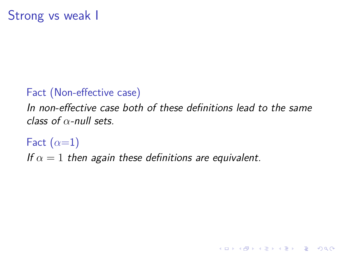Fact (Non-effective case) *In non-effective case both of these definitions lead to the same class of α-null sets.*

Fact (*α*=1)

*If α* = 1 *then again these definitions are equivalent.*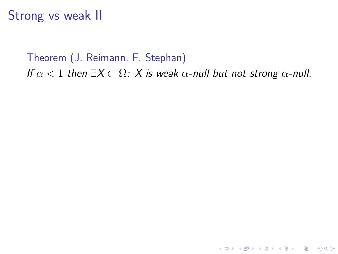Theorem (J. Reimann, F. Stephan) *If*  $\alpha$  < 1 *then*  $\exists X \subset \Omega$ *: X is weak*  $\alpha$ *-null but not strong*  $\alpha$ *-null.*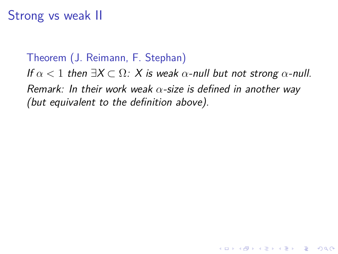Theorem (J. Reimann, F. Stephan)

*If*  $\alpha$  < 1 *then*  $\exists X \subset \Omega$ *: X is weak*  $\alpha$ *-null but not strong*  $\alpha$ *-null. Remark: In their work weak α-size is defined in another way (but equivalent to the definition above).*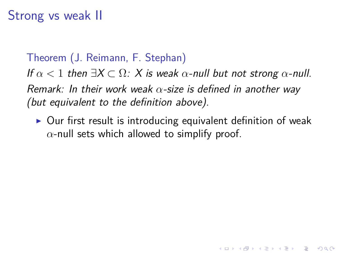Theorem (J. Reimann, F. Stephan)

*If*  $\alpha$  < 1 *then*  $\exists X \subset \Omega$ *: X is weak*  $\alpha$ *-null but not strong*  $\alpha$ *-null. Remark: In their work weak α-size is defined in another way (but equivalent to the definition above).*

▶ Our first result is introducing equivalent definition of weak *α*-null sets which allowed to simplify proof.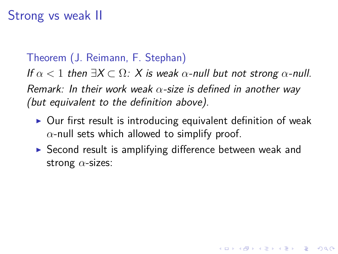Theorem (J. Reimann, F. Stephan)

*If*  $\alpha$  < 1 *then*  $\exists X \subset \Omega$ *: X is weak*  $\alpha$ *-null but not strong*  $\alpha$ *-null. Remark: In their work weak α-size is defined in another way (but equivalent to the definition above).*

- ▶ Our first result is introducing equivalent definition of weak *α*-null sets which allowed to simplify proof.
- ▶ Second result is amplifying difference between weak and strong *α*-sizes: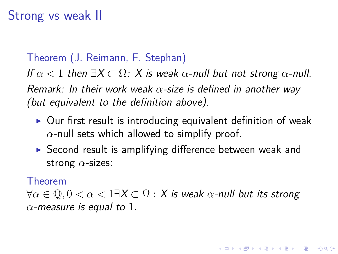#### Theorem (J. Reimann, F. Stephan)

*If*  $\alpha$  < 1 *then*  $\exists X \subset \Omega$ *: X is weak*  $\alpha$ *-null but not strong*  $\alpha$ *-null. Remark: In their work weak α-size is defined in another way (but equivalent to the definition above).*

- ▶ Our first result is introducing equivalent definition of weak *α*-null sets which allowed to simplify proof.
- ▶ Second result is amplifying difference between weak and strong *α*-sizes:

#### Theorem

*∀α ∈* Q*,* 0 *< α <* 1*∃X ⊂* Ω : *X is weak α-null but its strong α-measure is equal to* 1*.*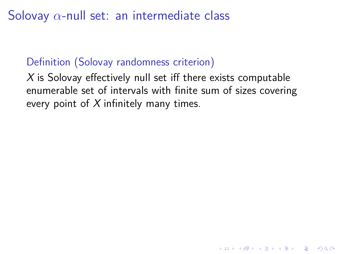### Definition (Solovay randomness criterion)

*X* is Solovay effectively null set iff there exists computable enumerable set of intervals with finite sum of sizes covering every point of *X* infinitely many times.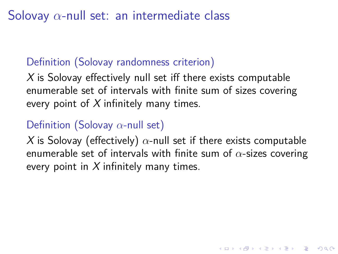### Definition (Solovay randomness criterion)

*X* is Solovay effectively null set iff there exists computable enumerable set of intervals with finite sum of sizes covering every point of *X* infinitely many times.

#### Definition (Solovay *α*-null set)

*X* is Solovay (effectively) *α*-null set if there exists computable enumerable set of intervals with finite sum of *α*-sizes covering every point in *X* infinitely many times.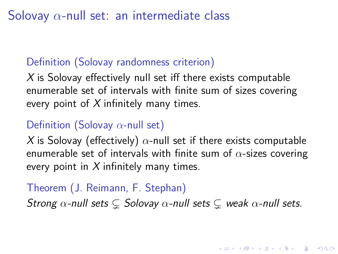#### Definition (Solovay randomness criterion)

*X* is Solovay effectively null set iff there exists computable enumerable set of intervals with finite sum of sizes covering every point of *X* infinitely many times.

#### Definition (Solovay *α*-null set)

*X* is Solovay (effectively)  $\alpha$ -null set if there exists computable enumerable set of intervals with finite sum of *α*-sizes covering every point in *X* infinitely many times.

### Theorem (J. Reimann, F. Stephan) *Strong α-null sets* ⊊ *Solovay α-null sets* ⊊ *weak α-null sets.*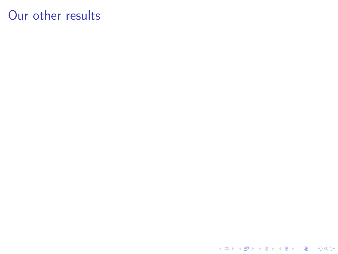Our other results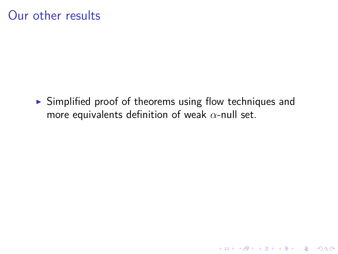Our other results

▶ Simplified proof of theorems using flow techniques and more equivalents definition of weak *α*-null set.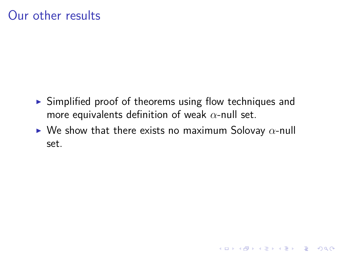Our other results

- $\blacktriangleright$  Simplified proof of theorems using flow techniques and more equivalents definition of weak *α*-null set.
- ▶ We show that there exists no maximum Solovay *α*-null set.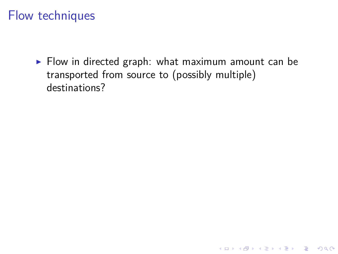▶ Flow in directed graph: what maximum amount can be transported from source to (possibly multiple) destinations?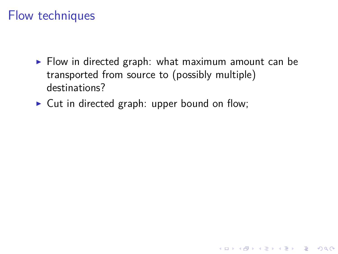- ▶ Flow in directed graph: what maximum amount can be transported from source to (possibly multiple) destinations?
- ▶ Cut in directed graph: upper bound on flow;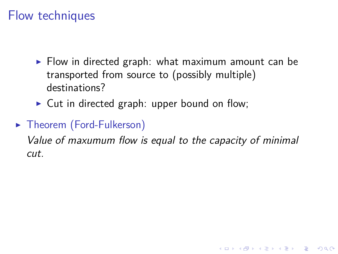- ▶ Flow in directed graph: what maximum amount can be transported from source to (possibly multiple) destinations?
- ▶ Cut in directed graph: upper bound on flow;

### ▶ Theorem (Ford-Fulkerson)

*Value of maxumum flow is equal to the capacity of minimal cut.*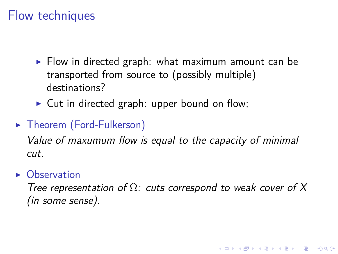- ▶ Flow in directed graph: what maximum amount can be transported from source to (possibly multiple) destinations?
- ▶ Cut in directed graph: upper bound on flow;
- ▶ Theorem (Ford-Fulkerson)

*Value of maxumum flow is equal to the capacity of minimal cut.*

▶ Observation

*Tree representation of* Ω*: cuts correspond to weak cover of X (in some sense).*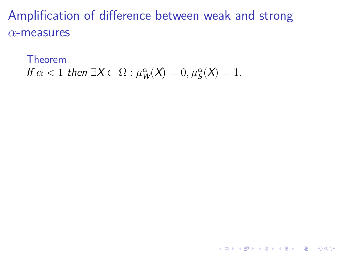# Theorem

*If*  $\alpha < 1$  *then*  $\exists X \subset \Omega : \mu_W^{\alpha}(X) = 0, \mu_S^{\alpha}(X) = 1.$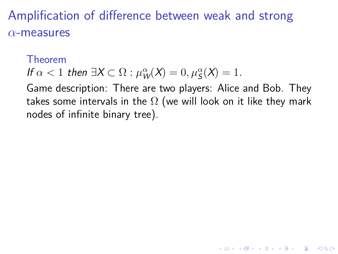#### Theorem

*If*  $\alpha < 1$  *then*  $\exists X \subset \Omega : \mu_W^{\alpha}(X) = 0, \mu_S^{\alpha}(X) = 1.$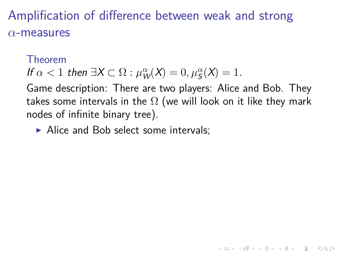#### Theorem

*If*  $\alpha < 1$  *then*  $\exists X \subset \Omega : \mu_W^{\alpha}(X) = 0, \mu_S^{\alpha}(X) = 1.$ 

Game description: There are two players: Alice and Bob. They takes some intervals in the  $\Omega$  (we will look on it like they mark nodes of infinite binary tree).

▶ Alice and Bob select some intervals;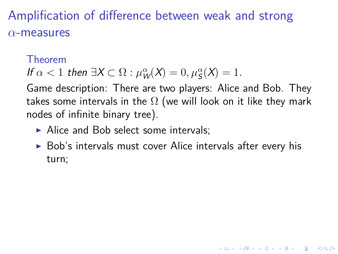#### Theorem

*If*  $\alpha < 1$  *then*  $\exists X \subset \Omega : \mu_W^{\alpha}(X) = 0, \mu_S^{\alpha}(X) = 1.$ 

- ▶ Alice and Bob select some intervals;
- ▶ Bob's intervals must cover Alice intervals after every his turn;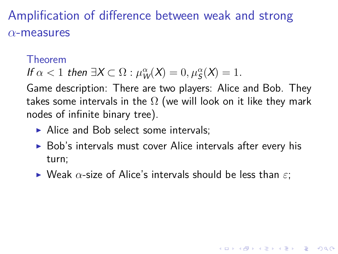#### Theorem

*If*  $\alpha < 1$  *then*  $\exists X \subset \Omega : \mu_W^{\alpha}(X) = 0, \mu_S^{\alpha}(X) = 1.$ 

- ▶ Alice and Bob select some intervals;
- ▶ Bob's intervals must cover Alice intervals after every his turn;
- ▶ Weak *α*-size of Alice's intervals should be less than *ε*;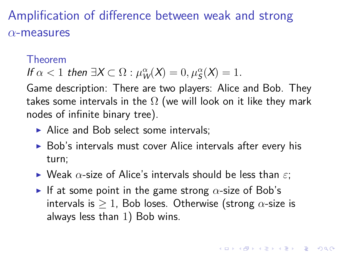#### Theorem

*If*  $\alpha < 1$  *then*  $\exists X \subset \Omega : \mu_W^{\alpha}(X) = 0, \mu_S^{\alpha}(X) = 1.$ 

- ▶ Alice and Bob select some intervals;
- ▶ Bob's intervals must cover Alice intervals after every his turn;
- ▶ Weak *α*-size of Alice's intervals should be less than *ε*;
- ▶ If at some point in the game strong *α*-size of Bob's intervals is *≥* 1, Bob loses. Otherwise (strong *α*-size is always less than 1) Bob wins.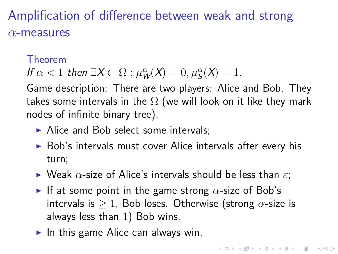#### Theorem

*If*  $\alpha < 1$  *then*  $\exists X \subset \Omega : \mu_W^{\alpha}(X) = 0, \mu_S^{\alpha}(X) = 1.$ 

- ▶ Alice and Bob select some intervals;
- ▶ Bob's intervals must cover Alice intervals after every his turn;
- ▶ Weak *α*-size of Alice's intervals should be less than *ε*;
- ▶ If at some point in the game strong *α*-size of Bob's intervals is *≥* 1, Bob loses. Otherwise (strong *α*-size is always less than 1) Bob wins.
- $\blacktriangleright$  In this game Alice can always win.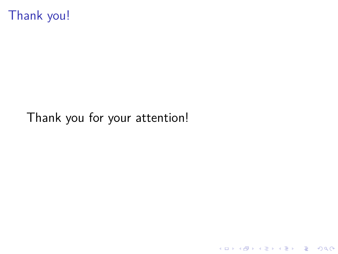Thank you!

Thank you for your attention!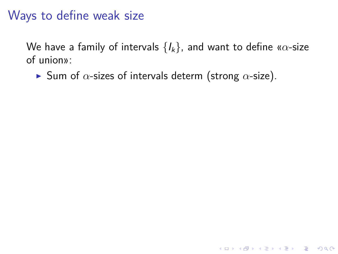We have a family of intervals *{Ik}*, and want to define «*α*-size of union»:

▶ Sum of *α*-sizes of intervals determ (strong *α*-size).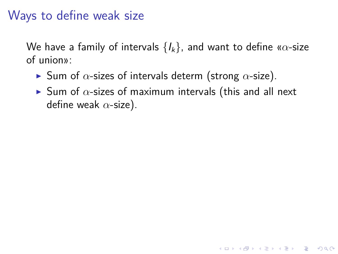- ▶ Sum of *α*-sizes of intervals determ (strong *α*-size).
- ▶ Sum of *α*-sizes of maximum intervals (this and all next define weak *α*-size).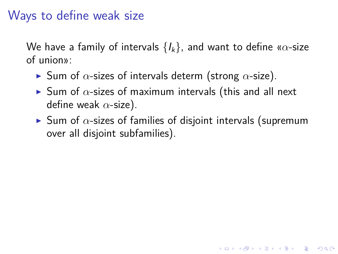- ▶ Sum of *α*-sizes of intervals determ (strong *α*-size).
- ▶ Sum of *α*-sizes of maximum intervals (this and all next define weak *α*-size).
- ▶ Sum of *α*-sizes of families of disjoint intervals (supremum over all disjoint subfamilies).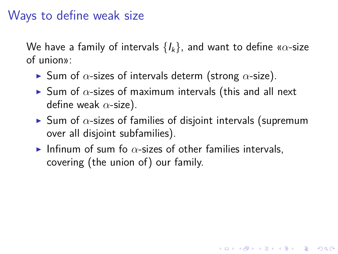- ▶ Sum of *α*-sizes of intervals determ (strong *α*-size).
- ▶ Sum of *α*-sizes of maximum intervals (this and all next define weak *α*-size).
- ▶ Sum of *α*-sizes of families of disjoint intervals (supremum over all disjoint subfamilies).
- $\blacktriangleright$  Infinum of sum fo  $\alpha$ -sizes of other families intervals, covering (the union of) our family.